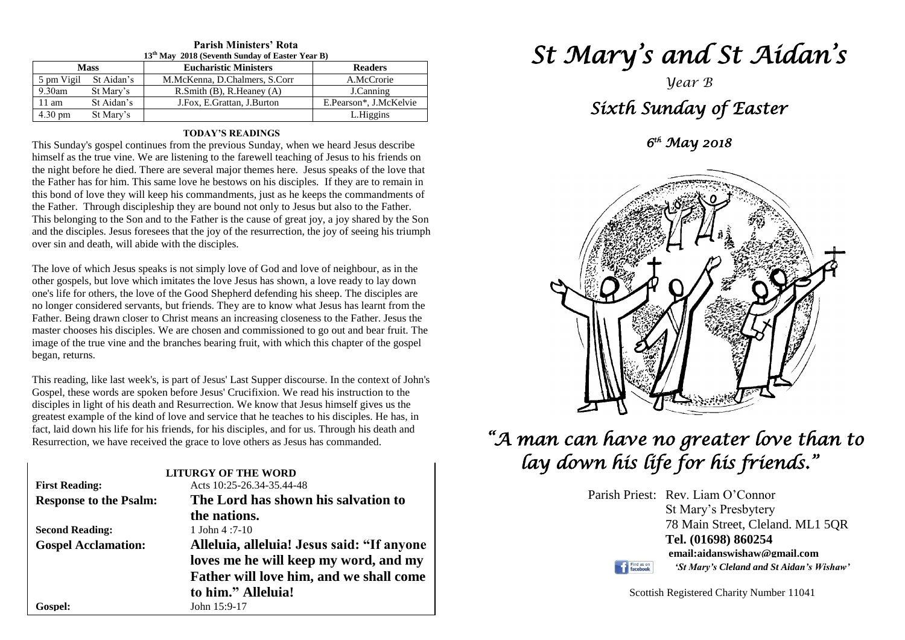| 13 <sup>th</sup> May 2018 (Seventh Sunday of Easter Year B) |            |                                      |                        |  |
|-------------------------------------------------------------|------------|--------------------------------------|------------------------|--|
| <b>Mass</b>                                                 |            | <b>Eucharistic Ministers</b>         | <b>Readers</b>         |  |
| 5 pm Vigil                                                  | St Aidan's | M.McKenna, D.Chalmers, S.Corr        | A.McCrorie             |  |
| 9.30am                                                      | St Mary's  | $R.S$ mith $(B)$ , $R.H$ eaney $(A)$ | J.Canning              |  |
| $11 \text{ am}$                                             | St Aidan's | J.Fox, E.Grattan, J.Burton           | E.Pearson*, J.McKelvie |  |
| $4.30 \text{ pm}$                                           | St Mary's  |                                      | L.Higgins              |  |

### **Parish Ministers' Rota**

#### **TODAY'S READINGS**

This Sunday's gospel continues from the previous Sunday, when we heard Jesus describe himself as the true vine. We are listening to the farewell teaching of Jesus to his friends on the night before he died. There are several major themes here. Jesus speaks of the love that the Father has for him. This same love he bestows on his disciples. If they are to remain in this bond of love they will keep his commandments, just as he keeps the commandments of the Father. Through discipleship they are bound not only to Jesus but also to the Father. This belonging to the Son and to the Father is the cause of great joy, a joy shared by the Son and the disciples. Jesus foresees that the joy of the resurrection, the joy of seeing his triumph over sin and death, will abide with the disciples.

master chooses his disciples. We are chosen and commissioned to go out and bear fruit. The<br>image of the true vine and the branches bearing fruit, with which this chapter of the gospel<br>began returns The love of which Jesus speaks is not simply love of God and love of neighbour, as in the other gospels, but love which imitates the love Jesus has shown, a love ready to lay down one's life for others, the love of the Good Shepherd defending his sheep. The disciples are no longer considered servants, but friends. They are to know what Jesus has learnt from the Father. Being drawn closer to Christ means an increasing closeness to the Father. Jesus the master chooses his disciples. We are chosen and commissioned to go out and bear fruit. The began, returns.

This reading, like last week's, is part of Jesus' Last Supper discourse. In the context of John's<br>Geopel, these words are speken before Jesus' Crueifixian, We read his instruction to the disciples in light of his death and Resurrection. We know that Jesus himself gives us the greatest example of the kind of love and service that he teaches to his disciples. He has, in Resurrection, we have received the grace to love others as Jesus has commanded. Gospel, these words are spoken before Jesus' Crucifixion. We read his instruction to the disciples in light of his death and Resurrection. We know that Jesus himself gives us the fact, laid down his life for his friends, for his disciples, and for us. Through his death and

|                               | <b>LITURGY OF THE WORD</b>                 |
|-------------------------------|--------------------------------------------|
| <b>First Reading:</b>         | Acts 10:25-26.34-35.44-48                  |
| <b>Response to the Psalm:</b> | The Lord has shown his salvation to        |
|                               | the nations.                               |
| <b>Second Reading:</b>        | 1 John $4:7-10$                            |
| <b>Gospel Acclamation:</b>    | Alleluia, alleluia! Jesus said: "If anyone |
|                               | loves me he will keep my word, and my      |
|                               | Father will love him, and we shall come    |
|                               | to him." Alleluia!                         |
| Gospel:                       | John 15:9-17                               |

# *St Mary's and St Aidan's*

### *Year B Sixth Sunday of Easter*

*6 th May 2018* 



## *"A man can have no greater love than to lay down his life for his friends."*

Parish Priest: Rev. Liam O'Connor St Mary's Presbytery 78 Main Street, Cleland. ML1 5QR **Tel. (01698) 860254 email:aidanswishaw@gmail.com** Find us on *'St Mary's Cleland and St Aidan's Wishaw'*

Scottish Registered Charity Number 11041